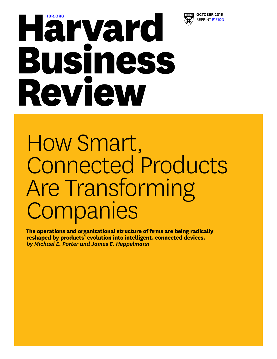

# **[HBR.ORG](http://hbr.org) OCTOBER 2015**<br> **OCTOBER 2015**<br> **OCTOBER 2015 Business** Review

How Smart, Connected Products Are Transforming **Companies** 

**The operations and organizational structure of firms are being radically reshaped by products' evolution into intelligent, connected devices.** *by Michael E. Porter and James E. Heppelmann*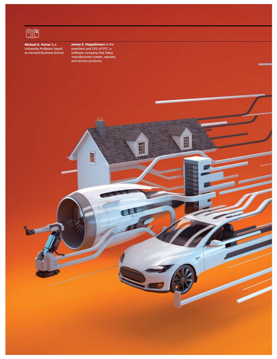

**NS** 

**Michael E. Porter** is a University Professor based at Harvard Business School. **James E. Heppelmann** is the president and CEO of PTC, a software company that helps manufacturers create, operate, and service products.

出版

暗暗

**ERRES**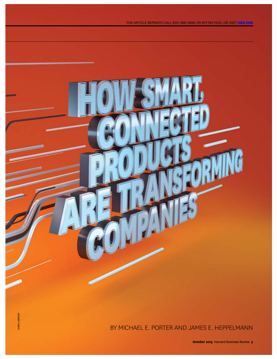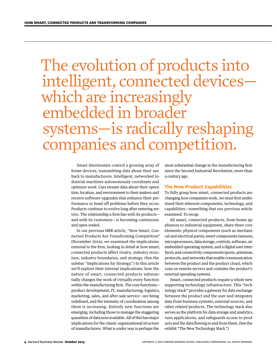The evolution of products into intelligent, connected devices— which are increasingly embedded in broader systems—is radically reshaping companies and competition.

> Smart thermostats control a growing array of home devices, transmitting data about their use back to manufacturers. Intelligent, networked industrial machines autonomously coordinate and optimize work. Cars stream data about their operation, location, and environment to their makers and receive software upgrades that enhance their performance or head off problems before they occur. Products continue to evolve long after entering service. The relationship a frm has with its products and with its customers—is becoming continuous and open-ended.

> In our previous HBR article, "How Smart, Connected Products Are Transforming Competition" (November 2014), we examined the implications external to the frm, looking in detail at how smart, connected products affect rivalry, industry structure, industry boundaries, and strategy. (See the sidebar "Implications for Strategy.") In this article we'll explore their internal implications: how the nature of smart, connected products substantially changes the work of virtually every function within the manufacturing frm. The core functions product development, IT, manufacturing, logistics, marketing, sales, and after-sale service—are being redefned, and the intensity of coordination among them is increasing. Entirely new functions are emerging, including those to manage the staggering quantities of data now available. All of this has major implications for the classic organizational structure of manufacturers. What is under way is perhaps the

most substantial change in the manufacturing frm since the Second Industrial Revolution, more than a century ago.

#### **The New Product Capabilities**

To fully grasp how smart, connected products are changing how companies work, we must frst understand their inherent components, technology, and capabilities—something that our previous article examined. To recap:

All smart, connected products, from home appliances to industrial equipment, share three core elements: physical components (such as mechanical and electrical parts); smart components (sensors, microprocessors, data storage, controls, software, an embedded operating system, and a digital user interface); and connectivity components (ports, antennae, protocols, and networks that enable communication between the product and the product cloud, which runs on remote servers and contains the product's external operating system).

Smart, connected products require a whole new supporting technology infrastructure. This "technology stack" provides a gateway for data exchange between the product and the user and integrates data from business systems, external sources, and other related products. The technology stack also serves as the platform for data storage and analytics, runs applications, and safeguards access to products and the data fowing to and from them. (See the exhibit "The New Technology Stack.")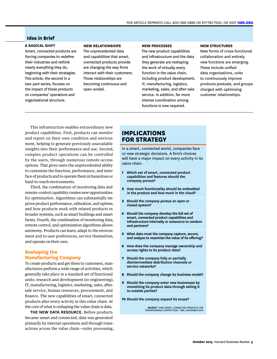#### **Idea in Brief**

#### **A RADICAL SHIFT**

Smart, connected products are forcing companies to redefine their industries and rethink nearly everything they do, beginning with their strategies. This article, the second in a two-part series, focuses on the impact of these products on companies' operations and organizational structure.

### **NEW RELATIONSHIPS**

The unprecedented data and capabilities that smart, connected products provide are changing the way firms interact with their customers. Those relationships are becoming continuous and open-ended.

#### **NEW PROCESSES**

The new product capabilities and infrastructure and the data they generate are reshaping the work of virtually every function in the value chain, including product development, IT, manufacturing, logistics, marketing, sales, and after-sale service. In addition, far more intense coordination among functions is now required.

#### **NEW STRUCTURES**

New forms of cross-functional collaboration and entirely new functions are emerging. These include unified data organizations, units to continuously improve products postsale, and groups charged with optimizing customer relationships.

This infrastructure enables extraordinary new product capabilities. First, products can monitor and report on their own condition and environment, helping to generate previously unavailable insights into their performance and use. Second, complex product operations can be controlled by the users, through numerous remote-access options. That gives users the unprecedented ability to customize the function, performance, and interface of products and to operate them in hazardous or hard-to-reach environments.

Third, the combination of monitoring data and remote-control capability creates new opportunities for optimization. Algorithms can substantially improve product performance, utilization, and uptime, and how products work with related products in broader systems, such as smart buildings and smart farms. Fourth, the combination of monitoring data, remote control, and optimization algorithms allows autonomy. Products can learn, adapt to the environment and to user preferences, service themselves, and operate on their own.

## **Reshaping the Manufacturing Company**

To create products and get them to customers, manufacturers perform a wide range of activities, which generally take place in a standard set of functional units: research and development (or engineering), IT, manufacturing, logistics, marketing, sales, aftersale service, human resources, procurement, and fnance. The new capabilities of smart, connected products alter every activity in this value chain. At the core of what is reshaping the value chain is data.

**THE NEW DATA RESOURCE.** Before products became smart and connected, data was generated primarily by internal operations and through transactions across the value chain—order processing,

# **IMPLICATIONS FOR STRATEGY**

In a smart, connected world, companies face 10 new strategic decisions. A firm's choices will have a major impact on every activity in its value chain.

- **1 Which set of smart, connected product capabilities and features should the company pursue?**
- **2 How much functionality should be embedded in the product and how much in the cloud?**
- **3 Should the company pursue an open or closed system?**
- **4 Should the company develop the full set of smart, connected product capabilities and infrastructure internally or outsource to vendors and partners?**
- **5 What data must the company capture, secure, and analyze to maximize the value of its offering?**
- **6 How does the company manage ownership and access rights to its product data?**
- **7 Should the company fully or partially disintermediate distribution channels or service networks?**
- **8 Should the company change its business model?**
- **9 Should the company enter new businesses by monetizing its product data through selling it to outside parties?**
- **10 Should the company expand its scope?**

**SOURCE** "HOW SMART, CONNECTED PRODUCTS ARE TRANSFORMING COMPETITION," HBR, NOVEMBER 2014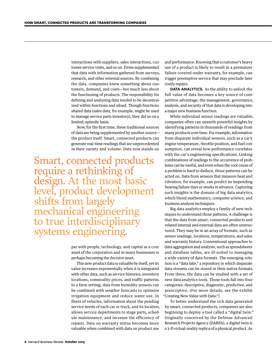interactions with suppliers, sales interactions, customer service visits, and so on. Firms supplemented that data with information gathered from surveys, research, and other external sources. By combining the data, companies knew something about customers, demand, and costs—but much less about the functioning of products. The responsibility for defning and analyzing data tended to be decentralized within functions and siloed. Though functions shared data (sales data, for example, might be used to manage service parts inventory), they did so on a limited, episodic basis.

Now, for the frst time, these traditional sources of data are being supplemented by another source the product itself. Smart, connected products can generate real-time readings that are unprecedented in their variety and volume. Data now stands on

Smart, connected products require a rethinking of design. At the most basic level, product development shifts from largely mechanical engineering to true interdisciplinary systems engineering.

> par with people, technology, and capital as a core asset of the corporation and in many businesses is perhaps becoming the decisive asset.

> This new product data is valuable by itself, yet its value increases exponentially when it is integrated with other data, such as service histories, inventory locations, commodity prices, and traffic patterns. In a farm setting, data from humidity sensors can be combined with weather forecasts to optimize irrigation equipment and reduce water use. In fleets of vehicles, information about the pending service needs of each car or truck, and its location, allows service departments to stage parts, schedule maintenance, and increase the efficiency of repairs. Data on warranty status becomes more valuable when combined with data on product use

and performance. Knowing that a customer's heavy use of a product is likely to result in a premature failure covered under warranty, for example, can trigger preemptive service that may preclude later costly repairs.

**DATA ANALYTICS.** As the ability to unlock the full value of data becomes a key source of competitive advantage, the management, governance, analysis, and security of that data is developing into a major new business function.

While individual sensor readings are valuable, companies often can unearth powerful insights by identifying patterns in thousands of readings from many products over time. For example, information from disparate individual sensors, such as a car's engine temperature, throttle position, and fuel consumption, can reveal how performance correlates with the car's engineering specifcations. Linking combinations of readings to the occurrence of problems can be useful, and even when the root cause of a problem is hard to deduce, those patterns can be acted on. Data from sensors that measure heat and vibration, for example, can predict an impending bearing failure days or weeks in advance. Capturing such insights is the domain of big data analytics, which blend mathematics, computer science, and business analysis techniques.

Big data analytics employ a family of new techniques to understand those patterns. A challenge is that the data from smart, connected products and related internal and external data are often unstructured. They may be in an array of formats, such as sensor readings, locations, temperatures, and sales and warranty history. Conventional approaches to data aggregation and analysis, such as spreadsheets and database tables, are ill-suited to managing a wide variety of data formats. The emerging solution is a "data lake," a repository in which disparate data streams can be stored in their native formats. From there, the data can be studied with a set of new data analytics tools. Those tools fall into four categories: descriptive, diagnostic, predictive, and prescriptive. (For more details, see the exhibit "Creating New Value with Data.")

To better understand the rich data generated by smart, connected products, companies are also beginning to deploy a tool called a "digital twin." Originally conceived by the Defense Advanced Research Projects Agency (DARPA), a digital twin is a 3-D virtual-reality replica of a physical product. As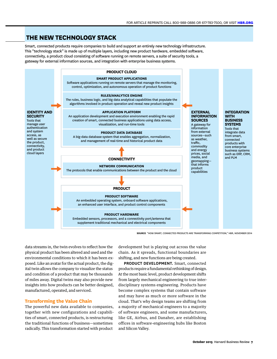## **THE NEW TECHNOLOGY STACK**

Smart, connected products require companies to build and support an entirely new technology infrastructure. This "technology stack" is made up of multiple layers, including new product hardware, embedded software, connectivity, a product cloud consisting of software running on remote servers, a suite of security tools, a gateway for external information sources, and integration with enterprise business systems.



**SOURCE** "HOW SMART, CONNECTED PRODUCTS ARE TRANSFORMING COMPETITION," HBR, NOVEMBER 2014

data streams in, the twin evolves to refect how the physical product has been altered and used and the environmental conditions to which it has been exposed. Like an avatar for the actual product, the digital twin allows the company to visualize the status and condition of a product that may be thousands of miles away. Digital twins may also provide new insights into how products can be better designed, manufactured, operated, and serviced.

## **Transforming the Value Chain**

The powerful new data available to companies, together with new configurations and capabilities of smart, connected products, is restructuring the traditional functions of business—sometimes radically. This transformation started with product

development but is playing out across the value chain. As it spreads, functional boundaries are shifting, and new functions are being created.

**PRODUCT DEVELOPMENT.** Smart, connected products require a fundamental rethinking of design. At the most basic level, product development shifts from largely mechanical engineering to true interdisciplinary systems engineering. Products have become complex systems that contain software and may have as much or more software in the cloud. That's why design teams are shifting from a majority of mechanical engineers to a majority of software engineers, and some manufacturers, like GE, Airbus, and Danaher, are establishing offices in software-engineering hubs like Boston and Silicon Valley.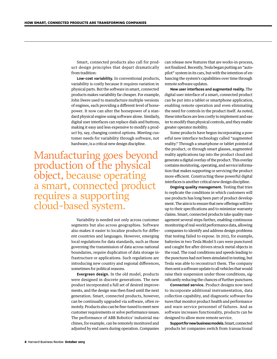Smart, connected products also call for product design principles that depart dramatically from tradition:

**Low-cost variability.** In conventional products, variability is costly because it requires variation in physical parts. But the software in smart, connected products makes variability far cheaper. For example, John Deere used to manufacture multiple versions of engines, each providing a diferent level of horsepower. It now can alter the horsepower of a standard physical engine using software alone. Similarly, digital user interfaces can replace dials and buttons, making it easy and less expensive to modify a product by, say, changing control options. Meeting customer needs for variability through software, not hardware, is a critical new design discipline.

Manufacturing goes beyond production of the physical object, because operating a smart, connected product requires a supporting cloud-based system.

> Variability is needed not only across customer segments but also across geographies. Software also makes it easier to localize products for different countries and languages. However, emerging local regulations for data standards, such as those governing the transmission of data across national boundaries, require duplication of data storage infrastructure or applications. Such regulations are introducing new country and regional diferences, sometimes for political reasons.

> **Evergreen design.** In the old model, products were designed in discrete generations. The new product incorporated a full set of desired improvements, and the design was then fxed until the next generation. Smart, connected products, however, can be continually upgraded via software, often remotely. Products also can be fne-tuned to meet new customer requirements or solve performance issues. The performance of ABB Robotics' industrial machines, for example, can be remotely monitored and adjusted by end users during operation. Companies

can release new features that are works-in-process, not fnalized. Recently, Tesla began putting an "autopilot" system in its cars, but with the intention of enhancing the system's capabilities over time through remote software updates.

**New user interfaces and augmented reality.** The digital user interface of a smart, connected product can be put into a tablet or smartphone application, enabling remote operation and even eliminating the need for controls in the product itself. As noted, these interfaces are less costly to implement and easier to modify than physical controls, and they enable greater operator mobility.

Some products have begun incorporating a powerful new interface technology called "augmented reality." Through a smartphone or tablet pointed at the product, or through smart glasses, augmented reality applications tap into the product cloud and generate a digital overlay of the product. This overlay contains monitoring, operating, and service information that makes supporting or servicing the product more efficient. Constructing these powerful digital interfaces is another critical new design discipline.

**Ongoing quality management.** Testing that tries to replicate the conditions in which customers will use products has long been part of product development. The aim is to ensure that new offerings will live up to their specifcations and to minimize warranty claims. Smart, connected products take quality management several steps farther, enabling continuous monitoring of real-world performance data, allowing companies to identify and address design problems that testing failed to expose. In 2013, for example, batteries in two Tesla Model S cars were punctured and caught fre after drivers struck metal objects in the road. The road conditions and speeds leading to the punctures had not been simulated in testing, but Tesla was able to reconstruct them. The company then sent a software update to all vehicles that would raise their suspension under those conditions, signifcantly reducing the chances of further punctures.

**Connected service.** Product designs now need to incorporate additional instrumentation, data collection capability, and diagnostic software features that monitor product health and performance and warn service personnel of failures. And as software increases functionality, products can be designed to allow more remote service.

**Support for new business models.** Smart, connected products let companies switch from transactional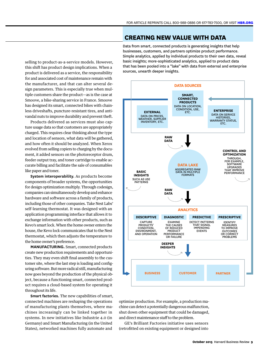## **CREATING NEW VALUE WITH DATA**

selling to product-as-a-service models. However, this shift has product design implications. When a product is delivered as a service, the responsibility for and associated cost of maintenance remain with the manufacturer, and that can alter several design parameters. This is especially true when multiple customers share the product—as is the case at Smoove, a bike-sharing service in France. Smoove has designed its smart, connected bikes with chainless driveshafts, puncture-resistant tires, and antivandal nuts to improve durability and prevent theft.

Products delivered as services must also capture usage data so that customers are appropriately charged. This requires clear thinking about the type and location of sensors, what data will be gathered, and how often it should be analyzed. When Xerox evolved from selling copiers to charging by the document, it added sensors on the photoreceptor drum, feeder output tray, and toner cartridge to enable accurate billing and facilitate the sale of consumables like paper and toner.

**System interoperability.** As products become components of broader systems, the opportunities for design optimization multiply. Through codesign, companies can simultaneously develop and enhance hardware and software across a family of products, including those of other companies. Take Nest Labs' self-learning thermostat. It was designed with an application programming interface that allows it to exchange information with other products, such as Kevo's smart lock. When the home owner enters the house, the Kevo lock communicates that to the Nest thermostat, which then adjusts the temperature to the home owner's preference.

**MANUFACTURING.** Smart, connected products create new production requirements and opportunities. They may even shift fnal assembly to the customer site, where the last step is loading and confguring software. But more radical still, manufacturing now goes beyond the production of the physical object, because a functioning smart, connected product requires a cloud-based system for operating it throughout its life.

**Smart factories.** The new capabilities of smart, connected machines are reshaping the operations of manufacturing plants themselves, where machines increasingly can be linked together in systems. In new initiatives like Industrie 4.0 (in Germany) and Smart Manufacturing (in the United States), networked machines fully automate and

Data from smart, connected products is generating insights that help businesses, customers, and partners optimize product performance. Simple analytics, applied by individual products to their own data, reveal basic insights; more-sophisticated analytics, applied to product data that has been pooled into a "lake" with data from external and enterprise sources, unearth deeper insights.



optimize production. For example, a production machine can detect a potentially dangerous malfunction, shut down other equipment that could be damaged, and direct maintenance staff to the problem.

GE's Brilliant Factories initiative uses sensors (retroftted on existing equipment or designed into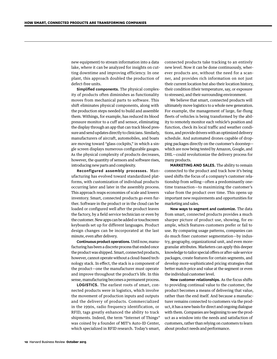new equipment) to stream information into a data lake, where it can be analyzed for insights on cutting downtime and improving efficiency. In one plant, this approach doubled the production of defect-free units.

**Simplified components.** The physical complexity of products often diminishes as functionality moves from mechanical parts to software. This shift eliminates physical components, along with the production steps needed to build and assemble them. Withings, for example, has reduced its blood pressure monitor to a cuff and sensor, eliminating the display through an app that can track blood pressure and send updates directly to clinicians. Similarly, manufacturers of aircraft, automobiles, and boats are moving toward "glass cockpits," in which a single screen displays numerous confgurable gauges. As the physical complexity of products decreases, however, the quantity of sensors and software rises, introducing new parts and complexity.

**Reconfigured assembly processes.** Manufacturing has evolved toward standardized platforms, with customization of individual products occurring later and later in the assembly process. This approach reaps economies of scale and lowers inventory. Smart, connected products go even further. Software in the product or in the cloud can be loaded or configured well after the product leaves the factory, by a feld service technician or even by the customer. New apps can be added or touchscreen keyboards set up for different languages. Product design changes can be incorporated at the last minute, even after delivery.

**Continuous product operations.** Until now, manufacturing has been a discrete process that ended once the product was shipped. Smart, connected products, however, cannot operate without a cloud-based technology stack. In effect, the stack is a component of the product—one the manufacturer must operate and improve throughout the product's life. In this sense, manufacturing becomes a permanent process.

**LOGISTICS.** The earliest roots of smart, connected products were in logistics, which involve the movement of production inputs and outputs and the delivery of products. Commercialized in the 1990s, radio frequency identification, or RFID, tags greatly enhanced the ability to track shipments. Indeed, the term "Internet of Things" was coined by a founder of MIT's Auto-ID Center, which specialized in RFID research. Today's smart, connected products take tracking to an entirely new level. Now it can be done continuously, wherever products are, without the need for a scanner, and provides rich information on not just their current location but also their location history, their condition (their temperature, say, or exposure to stresses), and their surrounding environment.

We believe that smart, connected products will ultimately move logistics to a whole new generation. For example, the management of large, far-flung fleets of vehicles is being transformed by the ability to remotely monitor each vehicle's position and function, check its local traffic and weather conditions, and provide drivers with an optimized delivery schedule. And automated drones capable of dropping packages directly on the customer's doorstep which are now being tested by Amazon, Google, and DHL—could revolutionize the delivery process for many products.

**MARKETING AND SALES.** The ability to remain connected to the product and track how it's being used shifts the focus of a company's customer relationship from selling—often a predominantly onetime transaction—to maximizing the customer's value from the product over time. This opens up important new requirements and opportunities for marketing and sales.

**New ways to segment and customize.** The data from smart, connected products provides a much sharper picture of product use, showing, for example, which features customers prefer or fail to use. By comparing usage patterns, companies can do much finer customer segmentation—by industry, geography, organizational unit, and even moregranular attributes. Marketers can apply this deeper knowledge to tailor special offers or after-sale service packages, create features for certain segments, and develop more-sophisticated pricing strategies that better match price and value at the segment or even the individual customer level.

**New customer relationships.** As the focus shifts to providing continual value to the customer, the product becomes a means of delivering that value, rather than the end itself. And because a manufacturer remains connected to customers via the product, it has a new basis for direct and ongoing dialogue with them. Companies are beginning to see the product as a window into the needs and satisfaction of customers, rather than relying on customers to learn about product needs and performance.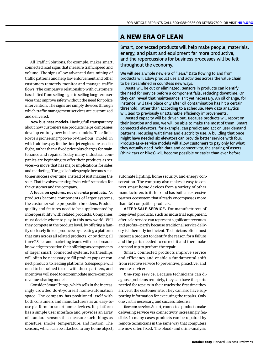# **A NEW ERA OF LEAN**

All Traffic Solutions, for example, makes smart, connected road signs that measure traffic speed and volume. The signs allow advanced data mining of traffic patterns and help law enforcement and other customers remotely monitor and manage traffic fows. The company's relationship with customers has shifted from selling signs to selling long-term services that improve safety without the need for police intervention. The signs are simply devices through which traffic management services are customized and delivered.

**New business models.** Having full transparency about how customers use products helps companies develop entirely new business models. Take Rolls-Royce's pioneering "power-by-the-hour" model, in which airlines pay for the time jet engines are used in fight, rather than a fxed price plus charges for maintenance and repairs. Today many industrial companies are beginning to offer their products as services—a move that has major implications for sales and marketing. The goal of salespeople becomes customer success over time, instead of just making the sale. That involves creating "win-win" scenarios for the customer and the company.

**A focus on systems, not discrete products.** As products become components of larger systems, the customer value proposition broadens. Product quality and features need to be supplemented by interoperability with related products. Companies must decide where to play in this new world: Will they compete at the product level; by offering a family of closely linked products; by creating a platform that cuts across all related products; or by doing all three? Sales and marketing teams will need broader knowledge to position their offerings as components of larger smart, connected systems. Partnerships will often be necessary to fill product gaps or connect products to leading platforms. Salespeople will need to be trained to sell with those partners, and incentives will need to accommodate more-complex revenue-sharing models.

Consider SmartThings, which sells in the increasingly crowded do-it-yourself home-automation space. The company has positioned itself with both consumers and manufacturers as an easy-touse platform for smart home devices. Its platform has a simple user interface and provides an array of standard sensors that measure such things as moisture, smoke, temperature, and motion. The sensors, which can be attached to any home object,

Smart, connected products will help make people, materials, energy, and plant and equipment far more productive, and the repercussions for business processes will be felt throughout the economy.

We will see a whole new era of "lean." Data flowing to and from products will allow product use and activities across the value chain to be streamlined in countless new ways.

Waste will be cut or eliminated. Sensors in products can identify the need for service before a component fails, reducing downtime. Or they can reveal that maintenance isn't yet necessary. An oil change, for instance, will take place only after oil contamination has hit a certain threshold, rather than according to a schedule. New data analytics will lead to previously unattainable efficiency improvements.

Wasted capacity will be driven out. Because products will report on their location and use, we will be able to make the most of them. Smart, connected elevators, for example, can predict and act on user demand patterns, reducing wait times and electricity use. A building that once might have needed six elevators can provide better service with four. Product-as-a-service models will allow customers to pay only for what they actually need. With data and connectivity, the sharing of assets (think cars or bikes) will become possible or easier than ever before.

automate lighting, home security, and energy conservation. The company also makes it easy to connect smart home devices from a variety of other manufacturers to its hub and has built an extensive partner ecosystem that already encompasses more than 100 compatible products.

**AFTER-SALE SERVICE.** For manufacturers of long-lived products, such as industrial equipment, after-sale service can represent signifcant revenues and profts—partly because traditional service delivery is inherently inefficient. Technicians often must inspect a product to identify the reason for a failure and the parts needed to correct it and then make a second trip to perform the repair.

Smart, connected products improve service and efficiency and enable a fundamental shift from reactive service to preventive, proactive, and remote service:

**One-stop service.** Because technicians can diagnose problems remotely, they can have the parts needed for repairs in their trucks the frst time they arrive at the customer site. They can also have supporting information for executing the repairs. Only one visit is necessary, and success rates rise.

**Remote service.** Smart, connected products make delivering service via connectivity increasingly feasible. In many cases products can be repaired by remote technicians in the same way that computers are now often fixed. The blood- and urine-analysis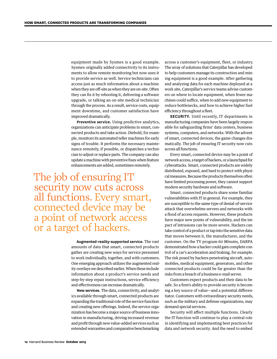equipment made by Sysmex is a good example. Sysmex originally added connectivity to its instruments to allow remote monitoring but now uses it to provide service as well. Service technicians can access just as much information about a machine when they are off-site as when they are on-site. Often they can fix it by rebooting it, delivering a software upgrade, or talking an on-site medical technician through the process. As a result, service costs, equipment downtime, and customer satisfaction have improved dramatically.

**Preventive service.** Using predictive analytics, organizations can anticipate problems in smart, connected products and take action. Diebold, for example, monitors its automated teller machines for early signs of trouble. It performs the necessary maintenance remotely, if possible, or dispatches a technician to adjust or replace parts. The company can also update a machine with preventive fxes when feature enhancements are added, sometimes remotely.

The job of ensuring IT security now cuts across all functions. Every smart, connected device may be a point of network access or a target of hackers.

> **Augmented-reality-supported service.** The vast amounts of data that smart, connected products gather are creating new ways for service personnel to work individually, together, and with customers. One emerging approach utilizes the augmented reality overlays we described earlier. When these include information about a product's service needs and step-by-step repair instructions, service efficiency and efectiveness can increase dramatically.

> **New services.** The data, connectivity, and analytics available through smart, connected products are expanding the traditional role of the service function and creating new offerings. Indeed, the service organization has become a major source of business innovation in manufacturing, driving increased revenue and proft through new value-added services such as extended warranties and comparative benchmarking

across a customer's equipment, fleet, or industry. The array of solutions that Caterpillar has developed to help customers manage its construction and mining equipment is a good example. After gathering and analyzing data for each machine deployed at a work site, Caterpillar's service teams advise customers on where to locate equipment, when fewer machines could suffice, when to add new equipment to reduce bottlenecks, and how to achieve higher fuel efficiency throughout a fleet.

**SECURITY.** Until recently, IT departments in manufacturing companies have been largely responsible for safeguarding frms' data centers, business systems, computers, and networks. With the advent of smart, connected devices, the game changes dramatically. The job of ensuring IT security now cuts across all functions.

Every smart, connected device may be a point of network access, a target of hackers, or a launchpad for cyberattacks. Smart, connected products are widely distributed, exposed, and hard to protect with physical measures. Because the products themselves often have limited processing power, they cannot support modern security hardware and software.

Smart, connected products share some familiar vulnerabilities with IT in general. For example, they are susceptible to the same type of denial-of-service attack that overwhelms servers and networks with a flood of access requests. However, these products have major new points of vulnerability, and the impact of intrusions can be more severe. Hackers can take control of a product or tap into the sensitive data that moves between it, the manufacturer, and the customer. On the TV program 60 Minutes, DARPA demonstrated how a hacker could gain complete control of a car's acceleration and braking, for example. The risk posed by hackers penetrating aircraft, automobiles, medical equipment, generators, and other connected products could be far greater than the risks from a breach of a business e-mail server.

Customers expect products and their data to be safe. So a frm's ability to provide security is becoming a key source of value—and a potential diferentiator. Customers with extraordinary security needs, such as the military and defense organizations, may demand special services.

Security will afect multiple functions. Clearly the IT function will continue to play a central role in identifying and implementing best practices for data and network security. And the need to embed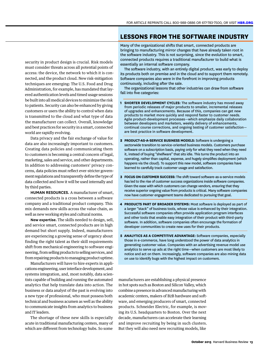## **LESSONS FROM THE SOFTWARE INDUSTRY**

security in product design is crucial. Risk models must consider threats across all potential points of access: the device, the network to which it is connected, and the product cloud. New risk-mitigation techniques are emerging: The U.S. Food and Drug Administration, for example, has mandated that layered authentication levels and timed usage sessions be built into all medical devices to minimize the risk to patients. Security can also be enhanced by giving customers or users the ability to control when data is transmitted to the cloud and what type of data the manufacturer can collect. Overall, knowledge and best practices for security in a smart, connected world are rapidly evolving.

Data privacy and the fair exchange of value for data are also increasingly important to customers. Creating data policies and communicating them to customers is becoming a central concern of legal, marketing, sales and service, and other departments. In addition to addressing customers' privacy concerns, data policies must refect ever-stricter government regulations and transparently defne the type of data collected and how it will be used internally and by third parties.

**HUMAN RESOURCES.** A manufacturer of smart, connected products is a cross between a software company and a traditional product company. This mix demands new skills across the value chain, as well as new working styles and cultural norms.

**New expertise.** The skills needed to design, sell, and service smart, connected products are in high demand but short supply. Indeed, manufacturers are experiencing a growing sense of urgency about finding the right talent as their skill requirements shift from mechanical engineering to software engineering, from selling products to selling services, and from repairing products to managing product uptime.

Manufacturers will have to hire experts in applications engineering, user interface development, and systems integration, and, most notably, data scientists capable of building and running the automated analytics that help translate data into action. The business or data analyst of the past is evolving into a new type of professional, who must possess both technical and business acumen as well as the ability to communicate insights from analytics to business and IT leaders.

The shortage of these new skills is especially acute in traditional manufacturing centers, many of which are diferent from technology hubs. So some

Many of the organizational shifts that smart, connected products are bringing to manufacturing mirror changes that have already taken root in the software industry. This is not surprising, since the evolution to smart, connected products requires a traditional manufacturer to build what is essentially an internal software company.

The software industry, with an entirely digital product, was early to deploy its products both on premise and in the cloud and to support them remotely. Software companies also were in the forefront in improving products continuously, including after the sale.

The organizational lessons that other industries can draw from software fall into five categories:

- **1 SHORTER DEVELOPMENT CYCLES:** The software industry has moved away from periodic releases of major products to smaller, incremental releases of upgrades and enhancements. Because of this, companies can get new products to market more quickly and respond faster to customer needs. Agile product-development processes—which emphasize daily collaboration between developers and marketers, weekly delivery of enhancements, continual course corrections, and ongoing testing of customer satisfaction are best practice in software development.
- **2 PRODUCT-AS-A-SERVICE BUSINESS MODELS:** Software is undergoing a sectorwide transition to service-oriented business models. Customers purchase software on a subscription basis, paying only for what they need when they need it, instead of buying "shelfware" that sits idle. This turns the product into an operating, rather than capital, expense, and hugely simplifies deployment (which happens via the cloud). To support this new model, software companies have learned to carefully track customer usage and satisfaction.
- **3 FOCUS ON CUSTOMER SUCCESS:** The shift toward software-as-a-service models has led to the rise of customer success organizations inside software companies. Given the ease with which customers can change vendors, ensuring that they receive superior ongoing value from products is critical. Many software companies now have customer engagement teams dedicated to pursuing that goal.
- **4 PRODUCTS PART OF BROADER SYSTEMS:** Most software is deployed as part of a larger "stack" of business tools, whose value is enhanced by their integration. Successful software companies often provide application program interfaces and other tools that enable easy integration of their product with third-party software. In addition, software companies often encourage the formation of developer communities to create new uses for their products.
- **5 ANALYTICS AS A COMPETITIVE ADVANTAGE:** Software companies, especially those in e-commerce, have long understood the power of data analytics in generating customer value. Companies with an advertising revenue model use analytics to serve up ads at the right time—when customers are most likely to notice and act on them. Increasingly, software companies are also mining data on use to identify bugs with the highest impact on customers.

manufacturers are establishing a physical presence in hot spots such as Boston and Silicon Valley, which combine a presence in advanced manufacturing with academic centers, makers of B2B hardware and software, and emerging producers of smart, connected products. Schneider Electric, for example, is moving its U.S. headquarters to Boston. Over the next decade, manufacturers can accelerate their learning and improve recruiting by being in such clusters. But they will also need new recruiting models, like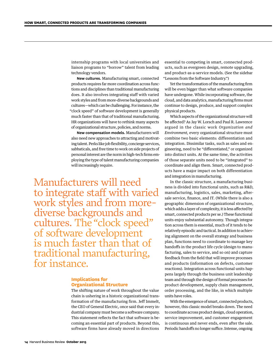internship programs with local universities and liaison programs to "borrow" talent from leading technology vendors.

**New cultures.** Manufacturing smart, connected products requires far more coordination across functions and disciplines than traditional manufacturing does. It also involves integrating staff with varied work styles and from more-diverse backgrounds and cultures—which can be challenging. For instance, the "clock speed" of software development is generally much faster than that of traditional manufacturing. HR organizations will have to rethink many aspects of organizational structure, policies, and norms.

**New compensation models.** Manufacturers will also need new approaches to attracting and motivating talent. Perks like job fexibility, concierge services, sabbaticals, and free time to work on side projects of personal interest are the norm in high-tech frms employing the type of talent manufacturing companies will increasingly require.

Manufacturers will need to integrate staff with varied work styles and from morediverse backgrounds and cultures. The "clock speed" of software development is much faster than that of traditional manufacturing, for instance.

## **Implications for Organizational Structure**

The shifting nature of work throughout the value chain is ushering in a historic organizational transformation of the manufacturing firm. Jeff Immelt, the CEO of General Electric, once said that every industrial company must become a software company. This statement reflects the fact that software is becoming an essential part of products. Beyond this, software firms have already moved in directions

essential to competing in smart, connected products, such as evergreen design, remote upgrading, and product-as-a-service models. (See the sidebar "Lessons from the Software Industry.")

Yet the transformation of the manufacturing frm will be even bigger than what software companies have undergone. While incorporating software, the cloud, and data analytics, manufacturing frms must continue to design, produce, and support complex physical products.

Which aspects of the organizational structure will be afected? As Jay W. Lorsch and Paul R. Lawrence argued in the classic work Organization and Environment, every organizational structure must combine two basic elements: differentiation and integration. Dissimilar tasks, such as sales and engineering, need to be "diferentiated," or organized into distinct units. At the same time, the activities of those separate units need to be "integrated" to coordinate and align them. Smart, connected products have a major impact on both differentiation and integration in manufacturing.

In the classic structure, a manufacturing business is divided into functional units, such as R&D, manufacturing, logistics, sales, marketing, aftersale service, fnance, and IT. (While there is also a geographic dimension of organizational structure, which adds a layer of complexity, it is less afected by smart, connected products per se.) These functional units enjoy substantial autonomy. Though integration across them is essential, much of it tends to be relatively episodic and tactical. In addition to achieving alignment on the overall strategy and business plan, functions need to coordinate to manage key handoffs in the product life cycle (design to manufacturing, sales to service, and so on) and capture feedback from the feld that will improve processes and products (information on defects, customer reactions). Integration across functional units happens largely through the business unit leadership team and through the design of formal processes for product development, supply chain management, order processing, and the like, in which multiple units have roles.

With the emergence of smart, connected products, however, this classic model breaks down. The need to coordinate across product design, cloud operation, service improvement, and customer engagement is continuous and never ends, even after the sale. Periodic handoffs no longer suffice. Intense, ongoing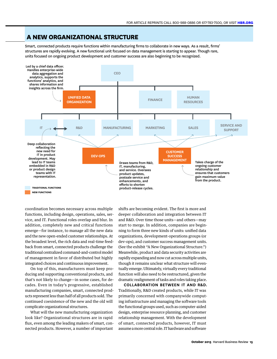# **A NEW ORGANIZATIONAL STRUCTURE**

Smart, connected products require functions within manufacturing firms to collaborate in new ways. As a result, firms' structures are rapidly evolving. A new functional unit focused on data management is starting to appear. Though rare, units focused on ongoing product development and customer success are also beginning to be recognized.



coordination becomes necessary across multiple functions, including design, operations, sales, service, and IT. Functional roles overlap and blur. In addition, completely new and critical functions emerge—for instance, to manage all the new data and the new open-ended customer relationships. At the broadest level, the rich data and real-time feedback from smart, connected products challenge the traditional centralized command-and-control model of management in favor of distributed but highly integrated choices and continuous improvement.

On top of this, manufacturers must keep producing and supporting conventional products, and that's not likely to change—in some cases, for decades. Even in today's progressive, established manufacturing companies, smart, connected products represent less than half of all products sold. The continued coexistence of the new and the old will complicate organizational structures.

What will the new manufacturing organization look like? Organizational structures are in rapid fux, even among the leading makers of smart, connected products. However, a number of important

shifts are becoming evident. The frst is more and deeper collaboration and integration between IT and R&D. Over time those units—and others—may start to merge. In addition, companies are beginning to form three new kinds of units: unifed data organizations, development-operations groups (or dev-ops), and customer success management units. (See the exhibit "A New Organizational Structure.") Meanwhile, product and data security activities are rapidly expanding and now cut across multiple units, though it remains unclear what structure will eventually emerge. Ultimately, virtually every traditional function will also need to be restructured, given the dramatic realignment of tasks and roles taking place.

**COLLABORATION BETWEEN IT AND R&D.** Traditionally, R&D created products, while IT was primarily concerned with companywide computing infrastructure and managing the software tools the functional groups used, such as computer-aided design, enterprise resource planning, and customer relationship management. With the development of smart, connected products, however, IT must assume a more central role. IT hardware and software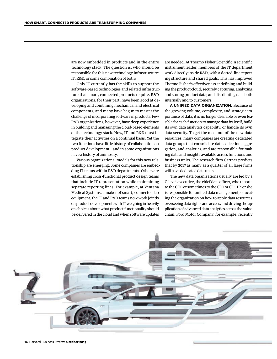are now embedded in products and in the entire technology stack. The question is, who should be responsible for this new technology infrastructure: IT, R&D, or some combination of both?

Only IT currently has the skills to support the software-based technologies and related infrastructure that smart, connected products require. R&D organizations, for their part, have been good at developing and combining mechanical and electrical components, and many have begun to master the challenge of incorporating software in products. Few R&D organizations, however, have deep experience in building and managing the cloud-based elements of the technology stack. Now, IT and R&D must integrate their activities on a continual basis. Yet the two functions have little history of collaboration on product development—and in some organizations have a history of animosity.

Various organizational models for this new relationship are emerging. Some companies are embedding IT teams within R&D departments. Others are establishing cross-functional product design teams that include IT representation while maintaining separate reporting lines. For example, at Ventana Medical Systems, a maker of smart, connected lab equipment, the IT and R&D teams now work jointly on product development, with IT weighing in heavily on choices about what product functionality should be delivered in the cloud and when software updates

are needed. At Thermo Fisher Scientifc, a scientifc instrument leader, members of the IT department work directly inside R&D, with a dotted-line reporting structure and shared goals. This has improved Thermo Fisher's efectiveness at defning and building the product cloud; securely capturing, analyzing, and storing product data; and distributing data both internally and to customers.

**A UNIFIED DATA ORGANIZATION.** Because of the growing volume, complexity, and strategic importance of data, it is no longer desirable or even feasible for each function to manage data by itself, build its own data analytics capability, or handle its own data security. To get the most out of the new data resources, many companies are creating dedicated data groups that consolidate data collection, aggregation, and analytics, and are responsible for making data and insights available across functions and business units. The research firm Gartner predicts that by 2017 as many as a quarter of all large firms will have dedicated data units.

The new data organizations usually are led by a C-level executive, the chief data officer, who reports to the CEO or sometimes to the CFO or CIO. He or she is responsible for unifed data management, educating the organization on how to apply data resources, overseeing data rights and access, and driving the application of advanced data analytics across the value chain. Ford Motor Company, for example, recently

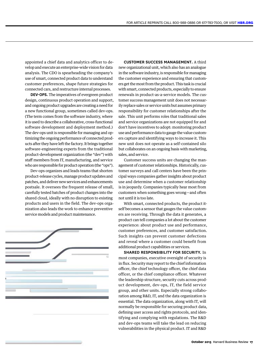appointed a chief data and analytics officer to develop and execute an enterprise-wide vision for data analysis. The CDO is spearheading the company's use of smart, connected product data to understand customer preferences, shape future strategies for connected cars, and restructure internal processes.

**DEV-OPS.** The imperatives of evergreen product design, continuous product operation and support, and ongoing product upgrades are creating a need for a new functional group, sometimes called dev-ops. (The term comes from the software industry, where it is used to describe a collaborative, cross-functional software development and deployment method.) The dev-ops unit is responsible for managing and optimizing the ongoing performance of connected products after they have left the factory. It brings together software-engineering experts from the traditional product-development organization (the "dev") with staff members from IT, manufacturing, and service who are responsible for product operation (the "ops").

Dev-ops organizes and leads teams that shorten product-release cycles, manage product updates and patches, and deliver new services and enhancements postsale. It oversees the frequent release of small, carefully tested batches of product changes into the shared cloud, ideally with no disruption to existing products and users in the field. The dev-ops organization also leads the work to enhance preventive service models and product maintenance.



**CUSTOMER SUCCESS MANAGEMENT.** A third new organizational unit, which also has an analogue in the software industry, is responsible for managing the customer experience and ensuring that customers get the most from the product. This task is crucial with smart, connected products, especially to ensure renewals in product-as-a-service models. The customer success management unit does not necessarily replace sales or service units but assumes primary responsibility for customer relationships after the sale. This unit performs roles that traditional sales and service organizations are not equipped for and don't have incentives to adopt: monitoring product use and performance data to gauge the value customers capture and identifying ways to increase it. This new unit does not operate as a self-contained silo but collaborates on an ongoing basis with marketing, sales, and service.

Customer success units are changing the management of customer relationships. Historically, customer surveys and call centers have been the principal ways companies gather insights about product use and determine when a customer relationship is in jeopardy. Companies typically hear most from customers when something goes wrong—and often not until it is too late.

With smart, connected products, the product itself becomes a sensor that gauges the value customers are receiving. Through the data it generates, a product can tell companies a lot about the customer experience: about product use and performance, customer preferences, and customer satisfaction. Such insights can prevent customer defections and reveal where a customer could benefit from additional product capabilities or services.

**SHARED RESPONSIBILITY FOR SECURITY.** In most companies, executive oversight of security is in fux. Security may report to the chief information officer, the chief technology officer, the chief data officer, or the chief compliance officer. Whatever the leadership structure, security cuts across product development, dev-ops, IT, the field service group, and other units. Especially strong collaboration among R&D, IT, and the data organization is essential. The data organization, along with IT, will normally be responsible for securing product data, defning user access and rights protocols, and identifying and complying with regulations. The R&D and dev-ops teams will take the lead on reducing vulnerabilities in the physical product. IT and R&D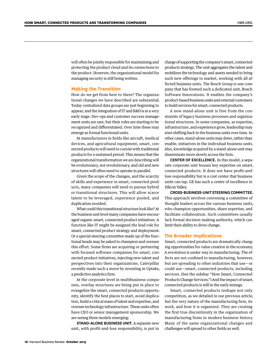will often be jointly responsible for maintaining and protecting the product cloud and its connections to the product. However, the organizational model for managing security is still being written.

## **Making the Transition**

How do we get from here to there? The organizational changes we have described are substantial. Today centralized data groups are just beginning to appear, and the integration of IT and R&D is in a very early stage. Dev-ops and customer success management units are rare, but their roles are starting to be recognized and diferentiated. Over time these may emerge as formal functional units.

At manufacturers in felds like aircraft, medical devices, and agricultural equipment, smart, connected products will need to coexist with traditional products for a sustained period. This means that the organizational transformation we are describing will be evolutionary, not revolutionary, and old and new structures will often need to operate in parallel.

Given the scope of the changes, and the scarcity of skills and experience in smart, connected products, many companies will need to pursue hybrid or transitional structures. This will allow scarce talent to be leveraged, experience pooled, and duplication avoided.

What could this transitional structure look like? At the business unit level many companies have encouraged organic smart, connected product initiatives. A function like IT might be assigned the lead role for smart, connected product strategy and deployment. Or a special steering committee made up of the functional heads may be asked to champion and oversee this effort. Some firms are acquiring or partnering with focused software companies for smart, connected product initiatives, injecting new talent and perspectives into their organizations. Caterpillar recently made such a move by investing in Uptake, a predictive analytics frm.

At the corporate level in multibusiness companies, overlay structures are being put in place to evangelize the smart, connected products opportunity, identify the best places to start, avoid duplication, build a critical mass of talent and expertise, and oversee technology infrastructure. These units often have CEO or senior management sponsorship. We are seeing three models emerging:

**STAND-ALONE BUSINESS UNIT.** A separate new unit, with profit-and-loss responsibility, is put in charge of supporting the company's smart, connected products strategy. The unit aggregates the talent and mobilizes the technology and assets needed to bring such new offerings to market, working with all affected business units. The Bosch Group is one company that has formed such a dedicated unit, Bosch Software Innovations. It enables the company's product-based business units and external customers to build services for smart, connected products.

A new stand-alone unit is free from the constraints of legacy business processes and organizational structures. In some companies, as expertise, infrastructure, and experience grow, leadership may start shifting back to the business units over time. In other cases, stand-alone units may deter, rather than enable, initiatives in the individual business units. Also, knowledge acquired by a stand-alone unit may disseminate more slowly across the frm.

**CENTER OF EXCELLENCE.** In this model, a separate corporate unit houses key expertise on smart, connected products. It does not have profit-andloss responsibility but is a cost center that business units can tap. GE has such a center of excellence in Silicon Valley.

**CROSS-BUSINESS-UNIT STEERING COMMITTEE.**  This approach involves convening a committee of thought leaders across the various business units, who champion opportunities, share expertise, and facilitate collaboration. Such committees usually lack formal decision-making authority, which can limit their ability to drive change.

#### **The Broader Implications**

Smart, connected products are dramatically changing opportunities for value creation in the economy. A revolution is under way in manufacturing. The effects are not confned to manufacturing, however, but are spreading to other industries that use—or could use—smart, connected products, including services. (See the sidebar "How Smart, Connected Products Change Services.") And the impact of smart, connected products is still in the early innings.

Smart, connected products reshape not only competition, as we detailed in our previous article, but the very nature of the manufacturing frm, its work, and how it is organized. They are creating the first true discontinuity in the organization of manufacturing firms in modern business history. Many of the same organizational changes and challenges will spread to other felds as well.